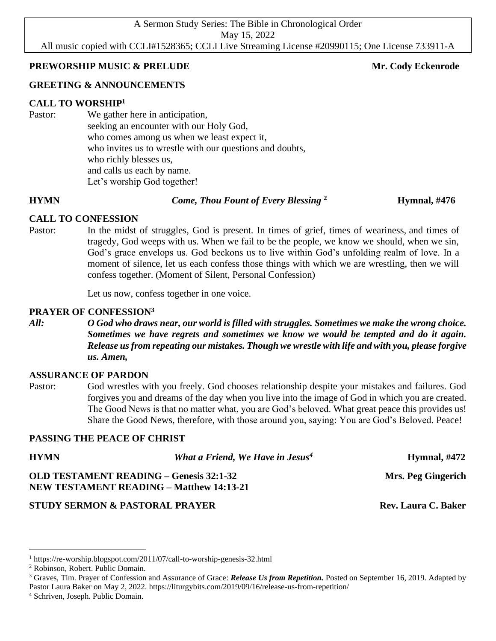A Sermon Study Series: The Bible in Chronological Order May 15, 2022 All music copied with CCLI#1528365; CCLI Live Streaming License #20990115; One License 733911-A

## **PREWORSHIP MUSIC & PRELUDE Mr. Cody Eckenrode** Mr. Cody Eckenrode

# **GREETING & ANNOUNCEMENTS**

# **CALL TO WORSHIP<sup>1</sup>**

Pastor: We gather here in anticipation, seeking an encounter with our Holy God, who comes among us when we least expect it, who invites us to wrestle with our questions and doubts, who richly blesses us, and calls us each by name. Let's worship God together!

### **HYMN** *Come, Thou Fount of Every Blessing* **<sup>2</sup>**

 **Hymnal, #476**

# **CALL TO CONFESSION**

Pastor: In the midst of struggles, God is present. In times of grief, times of weariness, and times of tragedy, God weeps with us. When we fail to be the people, we know we should, when we sin, God's grace envelops us. God beckons us to live within God's unfolding realm of love. In a moment of silence, let us each confess those things with which we are wrestling, then we will confess together. (Moment of Silent, Personal Confession)

Let us now, confess together in one voice.

# **PRAYER OF CONFESSION<sup>3</sup>**

*All: O God who draws near, our world is filled with struggles. Sometimes we make the wrong choice. Sometimes we have regrets and sometimes we know we would be tempted and do it again. Release us from repeating our mistakes. Though we wrestle with life and with you, please forgive us. Amen,*

# **ASSURANCE OF PARDON**

Pastor: God wrestles with you freely. God chooses relationship despite your mistakes and failures. God forgives you and dreams of the day when you live into the image of God in which you are created. The Good News is that no matter what, you are God's beloved. What great peace this provides us! Share the Good News, therefore, with those around you, saying: You are God's Beloved. Peace!

# **PASSING THE PEACE OF CHRIST**

| <b>HYMN</b>                                                                                       | What a Friend, We Have in Jesus <sup>4</sup> | <b>Hymnal, #472</b>        |
|---------------------------------------------------------------------------------------------------|----------------------------------------------|----------------------------|
| <b>OLD TESTAMENT READING - Genesis 32:1-32</b><br><b>NEW TESTAMENT READING – Matthew 14:13-21</b> |                                              | Mrs. Peg Gingerich         |
| <b>STUDY SERMON &amp; PASTORAL PRAYER</b>                                                         |                                              | <b>Rev. Laura C. Baker</b> |

<sup>1</sup> https://re-worship.blogspot.com/2011/07/call-to-worship-genesis-32.html

<sup>2</sup> Robinson, Robert. Public Domain.

<sup>3</sup> Graves, Tim. Prayer of Confession and Assurance of Grace: *Release Us from Repetition.* Posted on September 16, 2019. Adapted by Pastor Laura Baker on May 2, 2022. https://liturgybits.com/2019/09/16/release-us-from-repetition/

<sup>4</sup> Schriven, Joseph. Public Domain.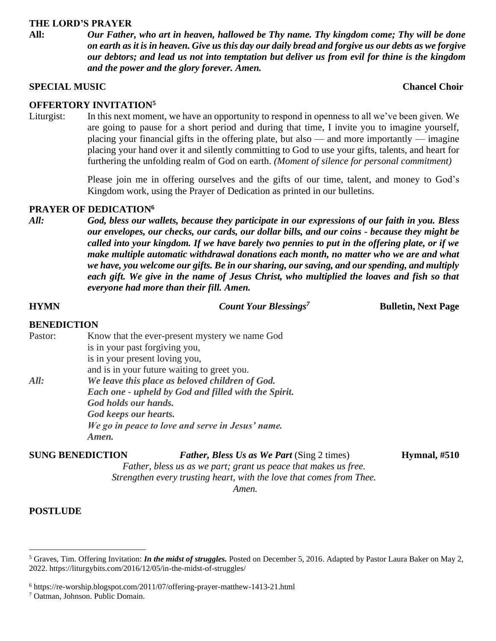#### **THE LORD'S PRAYER**

**All:** *Our Father, who art in heaven, hallowed be Thy name. Thy kingdom come; Thy will be done on earth as it is in heaven. Give us this day our daily bread and forgive us our debts as we forgive our debtors; and lead us not into temptation but deliver us from evil for thine is the kingdom and the power and the glory forever. Amen.*

#### **SPECIAL MUSIC** Chancel Choir **Chancel Choir Chancel Choir Chancel Choir**

### **OFFERTORY INVITATION<sup>5</sup>**

Liturgist: In this next moment, we have an opportunity to respond in openness to all we've been given. We are going to pause for a short period and during that time, I invite you to imagine yourself, placing your financial gifts in the offering plate, but also — and more importantly — imagine placing your hand over it and silently committing to God to use your gifts, talents, and heart for furthering the unfolding realm of God on earth. *(Moment of silence for personal commitment)*

> Please join me in offering ourselves and the gifts of our time, talent, and money to God's Kingdom work, using the Prayer of Dedication as printed in our bulletins.

## **PRAYER OF DEDICATION<sup>6</sup>**

*All: God, bless our wallets, because they participate in our expressions of our faith in you. Bless our envelopes, our checks, our cards, our dollar bills, and our coins - because they might be called into your kingdom. If we have barely two pennies to put in the offering plate, or if we make multiple automatic withdrawal donations each month, no matter who we are and what we have, you welcome our gifts. Be in our sharing, our saving, and our spending, and multiply*  each gift. We give in the name of Jesus Christ, who multiplied the loaves and fish so that *everyone had more than their fill. Amen.*

| <b>HYMN</b>        |                                                                                                                                                                                                                       | <b>Count Your Blessings<sup>7</sup></b>                                                                              | <b>Bulletin, Next Page</b> |  |
|--------------------|-----------------------------------------------------------------------------------------------------------------------------------------------------------------------------------------------------------------------|----------------------------------------------------------------------------------------------------------------------|----------------------------|--|
| <b>BENEDICTION</b> |                                                                                                                                                                                                                       |                                                                                                                      |                            |  |
| Pastor:            | Know that the ever-present mystery we name God<br>is in your past forgiving you,<br>is in your present loving you,<br>and is in your future waiting to greet you.                                                     |                                                                                                                      |                            |  |
| All:               | We leave this place as beloved children of God.<br>Each one - upheld by God and filled with the Spirit.<br>God holds our hands.<br>God keeps our hearts.<br>We go in peace to love and serve in Jesus' name.<br>Amen. |                                                                                                                      |                            |  |
|                    | <b>SUNG BENEDICTION</b>                                                                                                                                                                                               | <b>Father, Bless Us as We Part (Sing 2 times)</b><br>Father, bless us as we part; grant us peace that makes us free. | Hymnal, $#510$             |  |

*Strengthen every trusting heart, with the love that comes from Thee. Amen.*

#### **POSTLUDE**

<sup>5</sup> Graves, Tim. Offering Invitation: *In the midst of struggles.* Posted on [December 5, 2016.](https://liturgybits.com/2016/12/05/in-the-midst-of-struggles/) Adapted by Pastor Laura Baker on May 2, 2022. https://liturgybits.com/2016/12/05/in-the-midst-of-struggles/

<sup>6</sup> https://re-worship.blogspot.com/2011/07/offering-prayer-matthew-1413-21.html

<sup>7</sup> Oatman, Johnson. Public Domain.